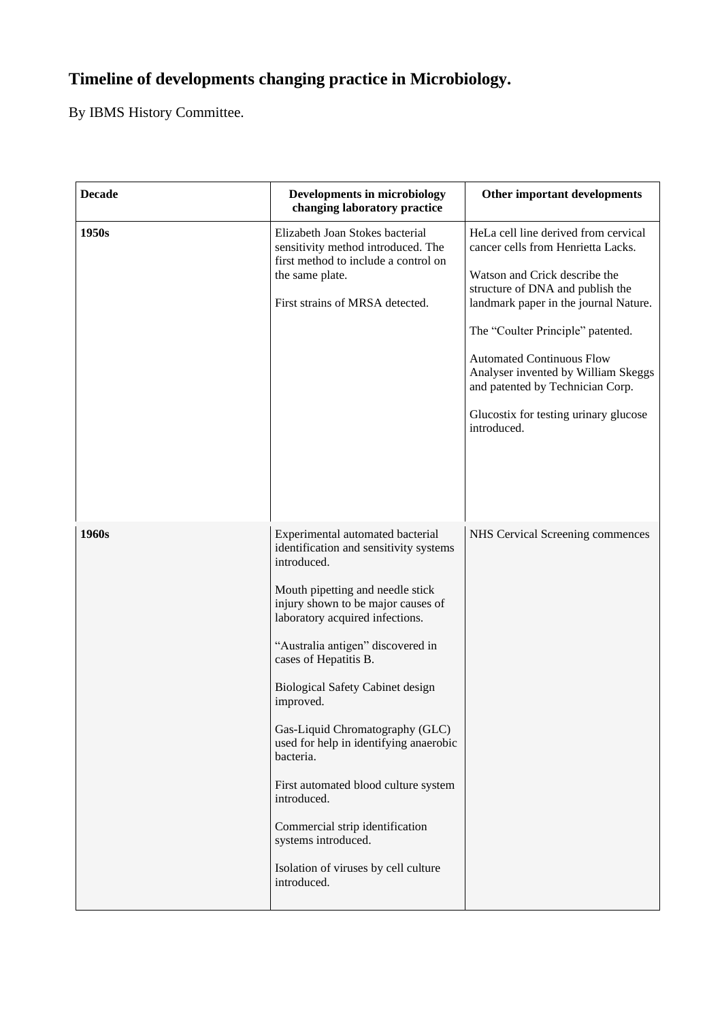## **Timeline of developments changing practice in Microbiology.**

By IBMS History Committee.

| <b>Decade</b> | <b>Developments in microbiology</b><br>changing laboratory practice                                                                                                                                                                                                                                                                                                                                                                                                                                                                                                                            | Other important developments                                                                                                                                                                                                                                                                                                                                                                         |
|---------------|------------------------------------------------------------------------------------------------------------------------------------------------------------------------------------------------------------------------------------------------------------------------------------------------------------------------------------------------------------------------------------------------------------------------------------------------------------------------------------------------------------------------------------------------------------------------------------------------|------------------------------------------------------------------------------------------------------------------------------------------------------------------------------------------------------------------------------------------------------------------------------------------------------------------------------------------------------------------------------------------------------|
| 1950s         | Elizabeth Joan Stokes bacterial<br>sensitivity method introduced. The<br>first method to include a control on<br>the same plate.<br>First strains of MRSA detected.                                                                                                                                                                                                                                                                                                                                                                                                                            | HeLa cell line derived from cervical<br>cancer cells from Henrietta Lacks.<br>Watson and Crick describe the<br>structure of DNA and publish the<br>landmark paper in the journal Nature.<br>The "Coulter Principle" patented.<br><b>Automated Continuous Flow</b><br>Analyser invented by William Skeggs<br>and patented by Technician Corp.<br>Glucostix for testing urinary glucose<br>introduced. |
| 1960s         | Experimental automated bacterial<br>identification and sensitivity systems<br>introduced.<br>Mouth pipetting and needle stick<br>injury shown to be major causes of<br>laboratory acquired infections.<br>"Australia antigen" discovered in<br>cases of Hepatitis B.<br><b>Biological Safety Cabinet design</b><br>improved.<br>Gas-Liquid Chromatography (GLC)<br>used for help in identifying anaerobic<br>bacteria.<br>First automated blood culture system<br>introduced.<br>Commercial strip identification<br>systems introduced.<br>Isolation of viruses by cell culture<br>introduced. | NHS Cervical Screening commences                                                                                                                                                                                                                                                                                                                                                                     |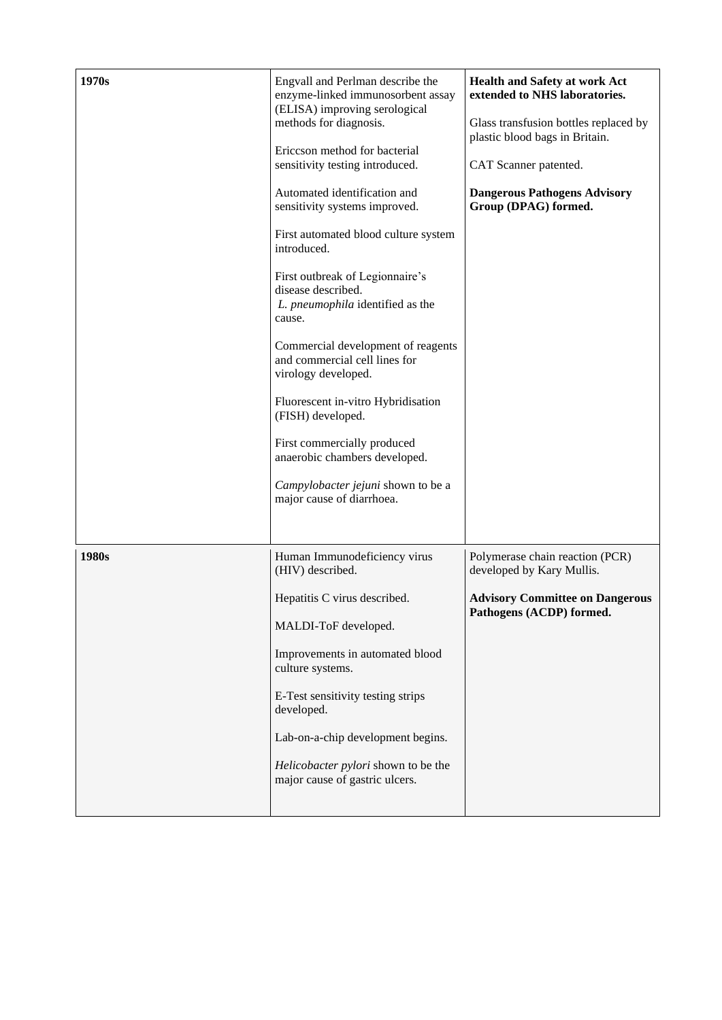| 1970s | Engvall and Perlman describe the<br>enzyme-linked immunosorbent assay<br>(ELISA) improving serological<br>methods for diagnosis.<br>Ericcson method for bacterial<br>sensitivity testing introduced.<br>Automated identification and<br>sensitivity systems improved.<br>First automated blood culture system<br>introduced.<br>First outbreak of Legionnaire's<br>disease described.<br>L. pneumophila identified as the<br>cause.<br>Commercial development of reagents<br>and commercial cell lines for<br>virology developed.<br>Fluorescent in-vitro Hybridisation<br>(FISH) developed.<br>First commercially produced<br>anaerobic chambers developed.<br>Campylobacter jejuni shown to be a<br>major cause of diarrhoea. | Health and Safety at work Act<br>extended to NHS laboratories.<br>Glass transfusion bottles replaced by<br>plastic blood bags in Britain.<br>CAT Scanner patented.<br><b>Dangerous Pathogens Advisory</b><br>Group (DPAG) formed. |
|-------|---------------------------------------------------------------------------------------------------------------------------------------------------------------------------------------------------------------------------------------------------------------------------------------------------------------------------------------------------------------------------------------------------------------------------------------------------------------------------------------------------------------------------------------------------------------------------------------------------------------------------------------------------------------------------------------------------------------------------------|-----------------------------------------------------------------------------------------------------------------------------------------------------------------------------------------------------------------------------------|
| 1980s | Human Immunodeficiency virus<br>(HIV) described.<br>Hepatitis C virus described.<br>MALDI-ToF developed.<br>Improvements in automated blood<br>culture systems.<br>E-Test sensitivity testing strips<br>developed.<br>Lab-on-a-chip development begins.<br>Helicobacter pylori shown to be the<br>major cause of gastric ulcers.                                                                                                                                                                                                                                                                                                                                                                                                | Polymerase chain reaction (PCR)<br>developed by Kary Mullis.<br><b>Advisory Committee on Dangerous</b><br>Pathogens (ACDP) formed.                                                                                                |